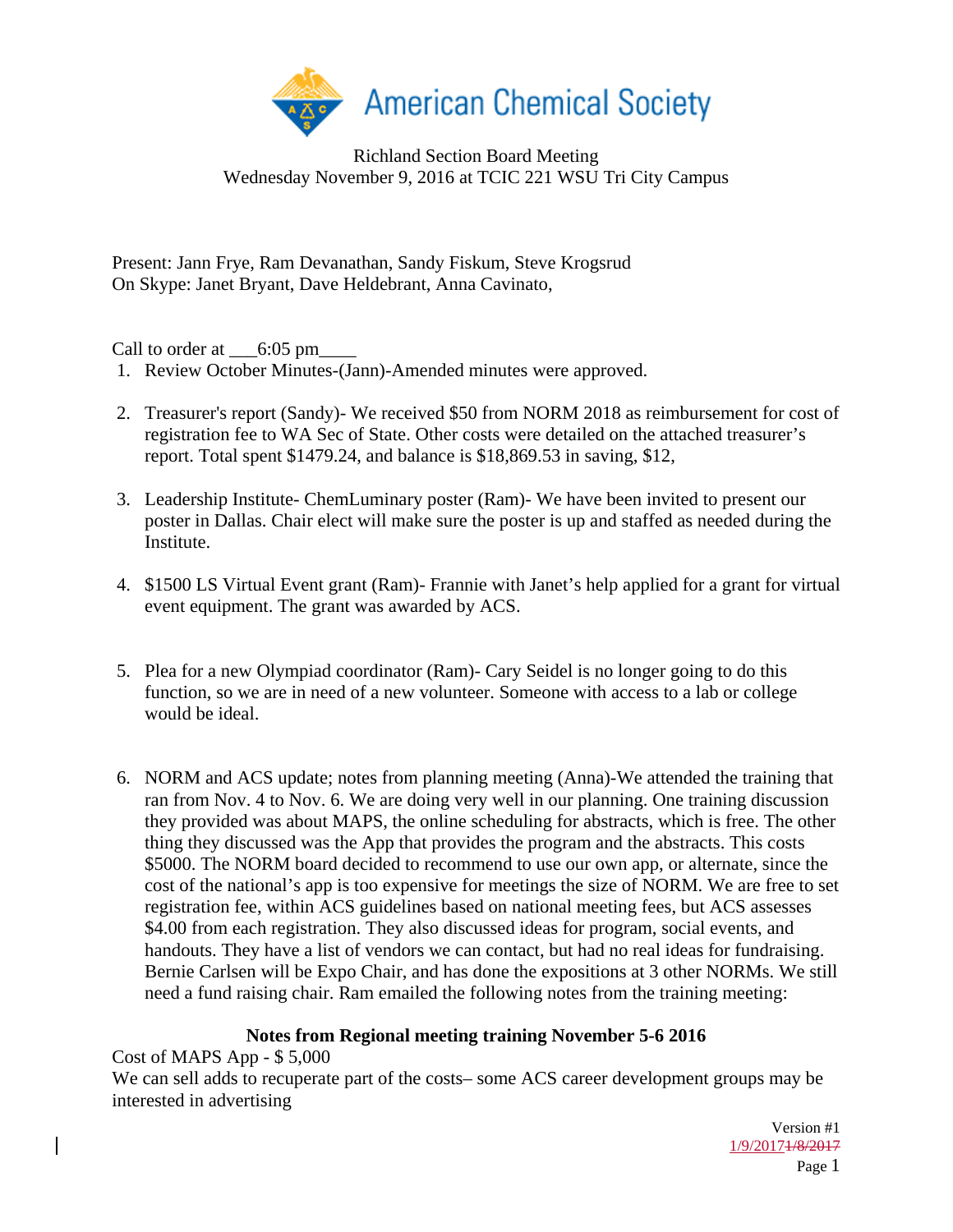

### Richland Section Board Meeting Wednesday November 9, 2016 at TCIC 221 WSU Tri City Campus

Present: Jann Frye, Ram Devanathan, Sandy Fiskum, Steve Krogsrud On Skype: Janet Bryant, Dave Heldebrant, Anna Cavinato,

Call to order at  $\_\$  6:05 pm

- 1. Review October Minutes-(Jann)-Amended minutes were approved.
- 2. Treasurer's report (Sandy)- We received \$50 from NORM 2018 as reimbursement for cost of registration fee to WA Sec of State. Other costs were detailed on the attached treasurer's report. Total spent \$1479.24, and balance is \$18,869.53 in saving, \$12,
- 3. Leadership Institute- ChemLuminary poster (Ram)- We have been invited to present our poster in Dallas. Chair elect will make sure the poster is up and staffed as needed during the Institute.
- 4. \$1500 LS Virtual Event grant (Ram)- Frannie with Janet's help applied for a grant for virtual event equipment. The grant was awarded by ACS.
- 5. Plea for a new Olympiad coordinator (Ram)- Cary Seidel is no longer going to do this function, so we are in need of a new volunteer. Someone with access to a lab or college would be ideal.
- 6. NORM and ACS update; notes from planning meeting (Anna)-We attended the training that ran from Nov. 4 to Nov. 6. We are doing very well in our planning. One training discussion they provided was about MAPS, the online scheduling for abstracts, which is free. The other thing they discussed was the App that provides the program and the abstracts. This costs \$5000. The NORM board decided to recommend to use our own app, or alternate, since the cost of the national's app is too expensive for meetings the size of NORM. We are free to set registration fee, within ACS guidelines based on national meeting fees, but ACS assesses \$4.00 from each registration. They also discussed ideas for program, social events, and handouts. They have a list of vendors we can contact, but had no real ideas for fundraising. Bernie Carlsen will be Expo Chair, and has done the expositions at 3 other NORMs. We still need a fund raising chair. Ram emailed the following notes from the training meeting:

# **Notes from Regional meeting training November 5-6 2016**

Cost of MAPS App - \$ 5,000 We can sell adds to recuperate part of the costs– some ACS career development groups may be interested in advertising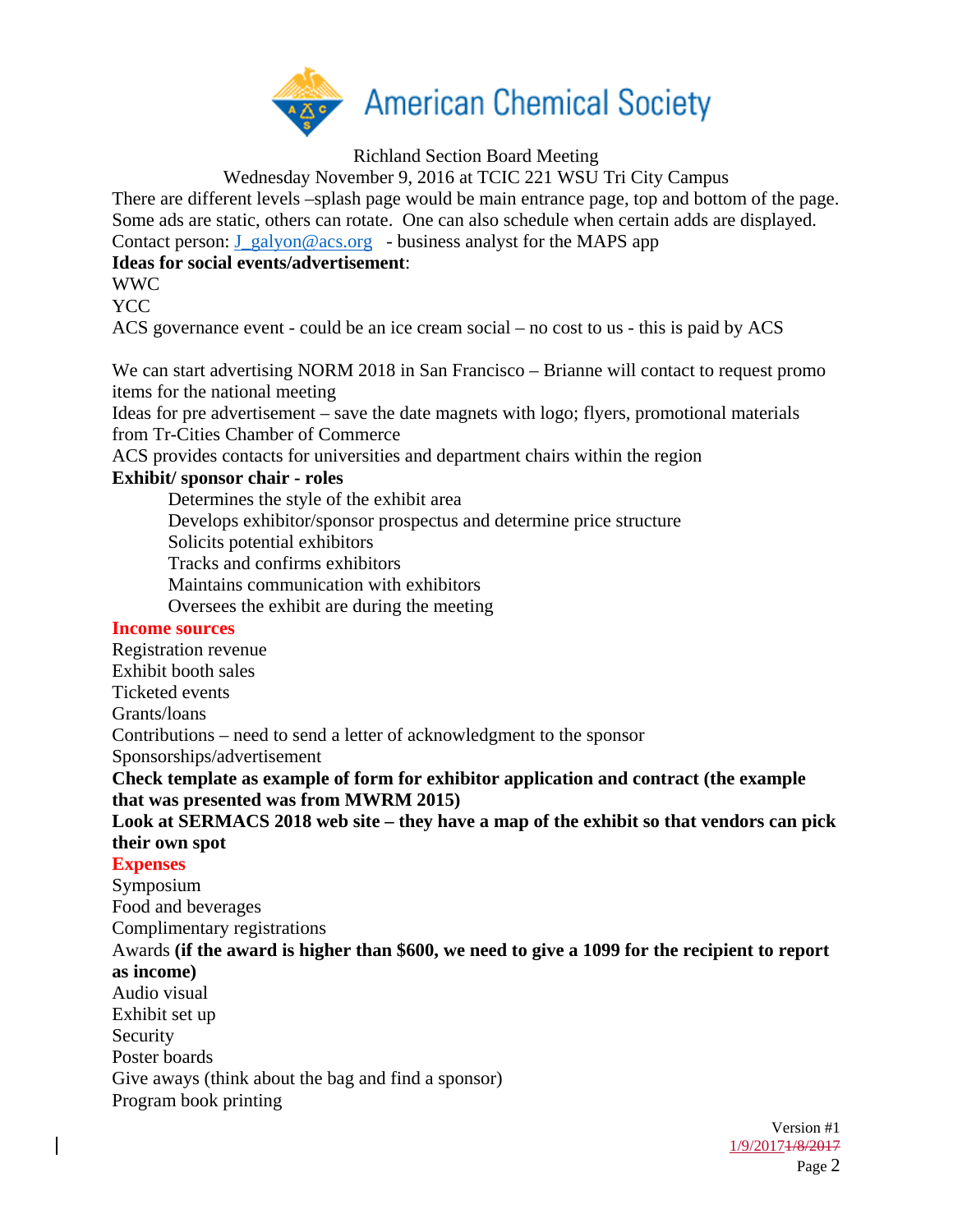

Richland Section Board Meeting

Wednesday November 9, 2016 at TCIC 221 WSU Tri City Campus There are different levels –splash page would be main entrance page, top and bottom of the page. Some ads are static, others can rotate. One can also schedule when certain adds are displayed.

Contact person:  $J_{galvon@acs.org}$  - business analyst for the MAPS app

### **Ideas for social events/advertisement**:

WWC

YCC

ACS governance event - could be an ice cream social – no cost to us - this is paid by ACS

We can start advertising NORM 2018 in San Francisco – Brianne will contact to request promo items for the national meeting

Ideas for pre advertisement – save the date magnets with logo; flyers, promotional materials from Tr-Cities Chamber of Commerce

ACS provides contacts for universities and department chairs within the region

### **Exhibit/ sponsor chair - roles**

 Determines the style of the exhibit area Develops exhibitor/sponsor prospectus and determine price structure Solicits potential exhibitors Tracks and confirms exhibitors Maintains communication with exhibitors Oversees the exhibit are during the meeting

#### **Income sources**

Version #1 Registration revenue Exhibit booth sales Ticketed events Grants/loans Contributions – need to send a letter of acknowledgment to the sponsor Sponsorships/advertisement **Check template as example of form for exhibitor application and contract (the example that was presented was from MWRM 2015) Look at SERMACS 2018 web site – they have a map of the exhibit so that vendors can pick their own spot Expenses**  Symposium Food and beverages Complimentary registrations Awards **(if the award is higher than \$600, we need to give a 1099 for the recipient to report as income)** Audio visual Exhibit set up Security Poster boards Give aways (think about the bag and find a sponsor) Program book printing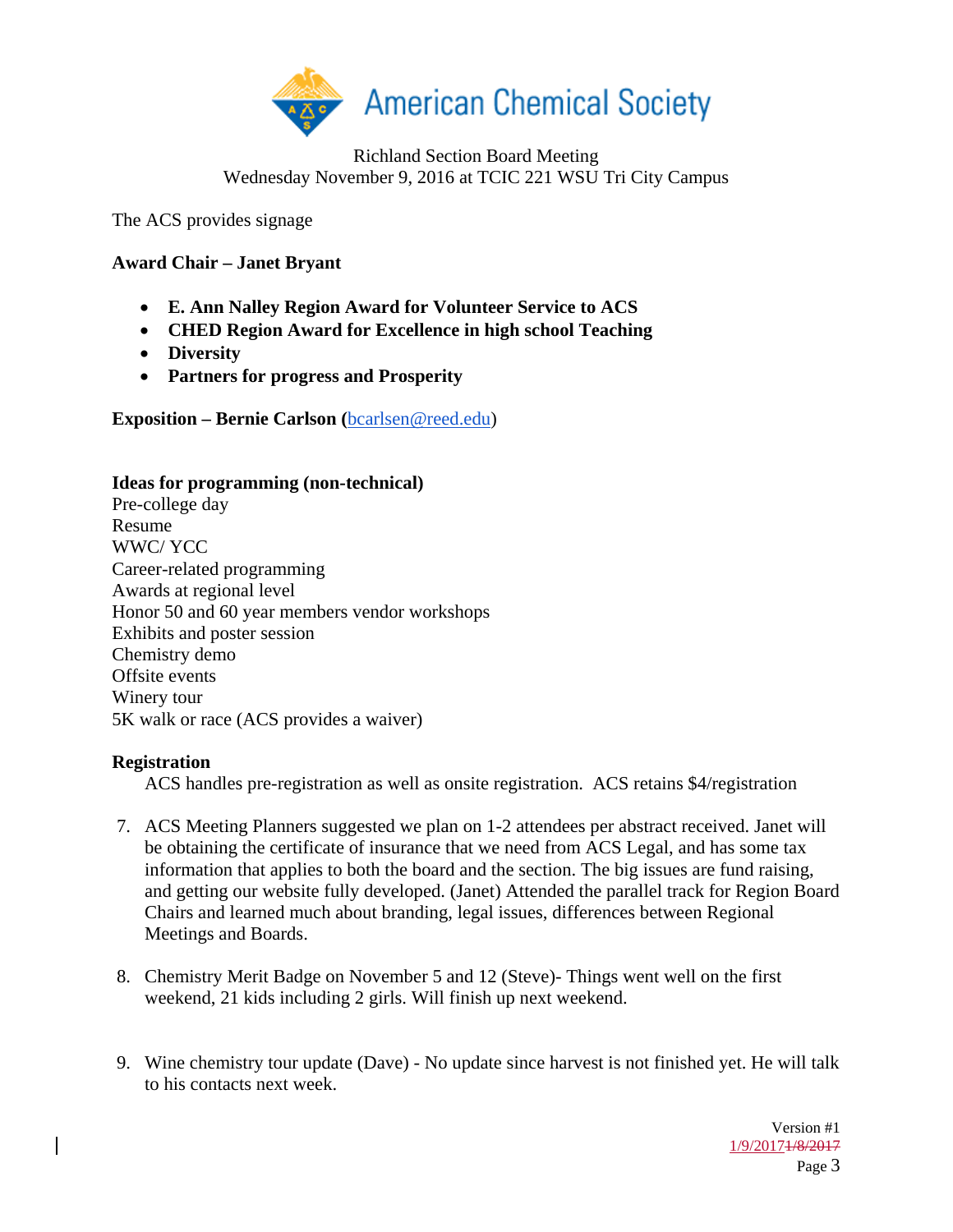

### Richland Section Board Meeting Wednesday November 9, 2016 at TCIC 221 WSU Tri City Campus

The ACS provides signage

## **Award Chair – Janet Bryant**

- **E. Ann Nalley Region Award for Volunteer Service to ACS**
- **CHED Region Award for Excellence in high school Teaching**
- **Diversity**
- **Partners for progress and Prosperity**

**Exposition – Bernie Carlson (**bcarlsen@reed.edu)

### **Ideas for programming (non-technical)**

Pre-college day Resume WWC/ YCC Career-related programming Awards at regional level Honor 50 and 60 year members vendor workshops Exhibits and poster session Chemistry demo Offsite events Winery tour 5K walk or race (ACS provides a waiver)

### **Registration**

ACS handles pre-registration as well as onsite registration. ACS retains \$4/registration

- 7. ACS Meeting Planners suggested we plan on 1-2 attendees per abstract received. Janet will be obtaining the certificate of insurance that we need from ACS Legal, and has some tax information that applies to both the board and the section. The big issues are fund raising, and getting our website fully developed. (Janet) Attended the parallel track for Region Board Chairs and learned much about branding, legal issues, differences between Regional Meetings and Boards.
- 8. Chemistry Merit Badge on November 5 and 12 (Steve)- Things went well on the first weekend, 21 kids including 2 girls. Will finish up next weekend.
- 9. Wine chemistry tour update (Dave) No update since harvest is not finished yet. He will talk to his contacts next week.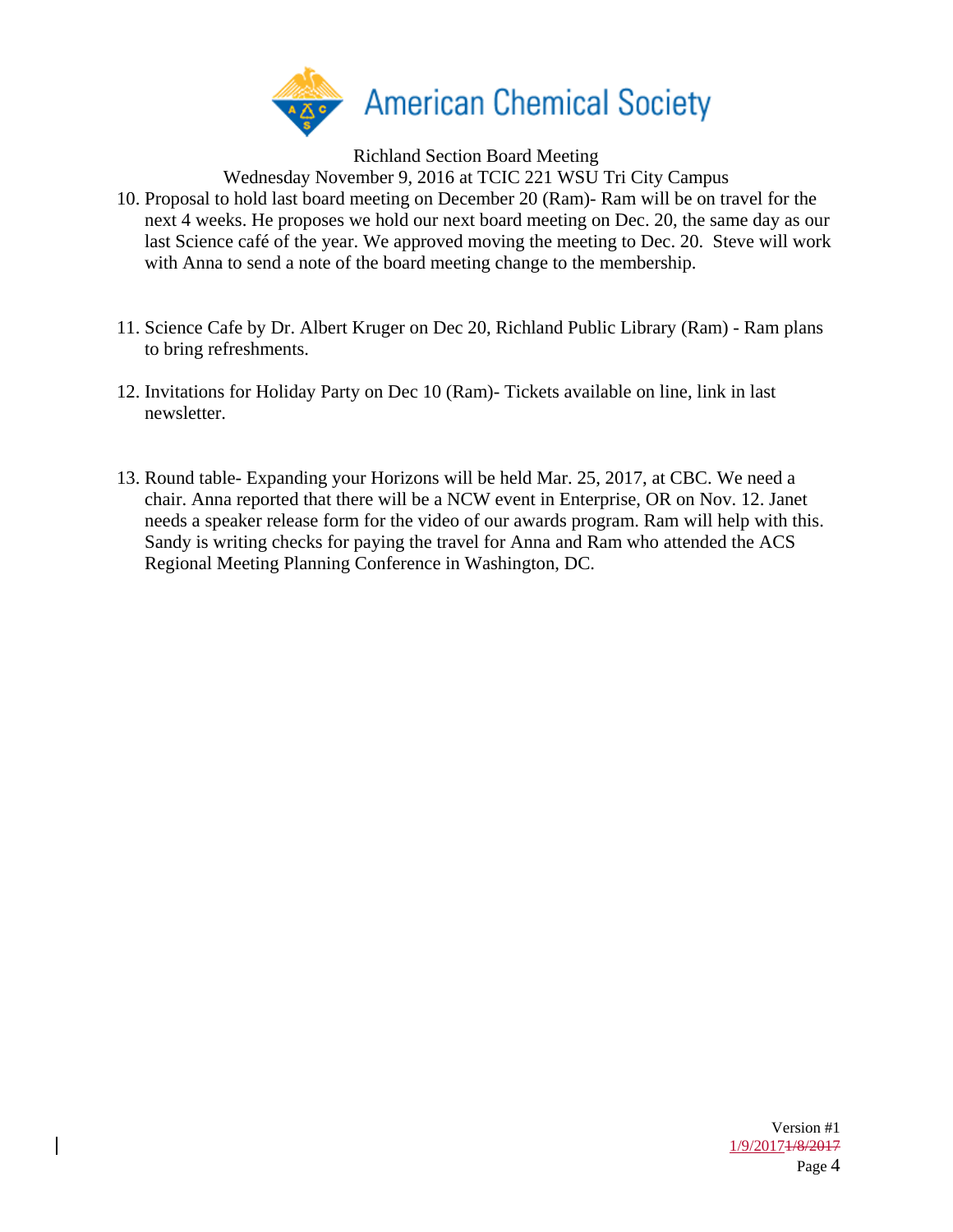

Richland Section Board Meeting

Wednesday November 9, 2016 at TCIC 221 WSU Tri City Campus

- 10. Proposal to hold last board meeting on December 20 (Ram)- Ram will be on travel for the next 4 weeks. He proposes we hold our next board meeting on Dec. 20, the same day as our last Science café of the year. We approved moving the meeting to Dec. 20. Steve will work with Anna to send a note of the board meeting change to the membership.
- 11. Science Cafe by Dr. Albert Kruger on Dec 20, Richland Public Library (Ram) Ram plans to bring refreshments.
- 12. Invitations for Holiday Party on Dec 10 (Ram)- Tickets available on line, link in last newsletter.
- 13. Round table- Expanding your Horizons will be held Mar. 25, 2017, at CBC. We need a chair. Anna reported that there will be a NCW event in Enterprise, OR on Nov. 12. Janet needs a speaker release form for the video of our awards program. Ram will help with this. Sandy is writing checks for paying the travel for Anna and Ram who attended the ACS Regional Meeting Planning Conference in Washington, DC.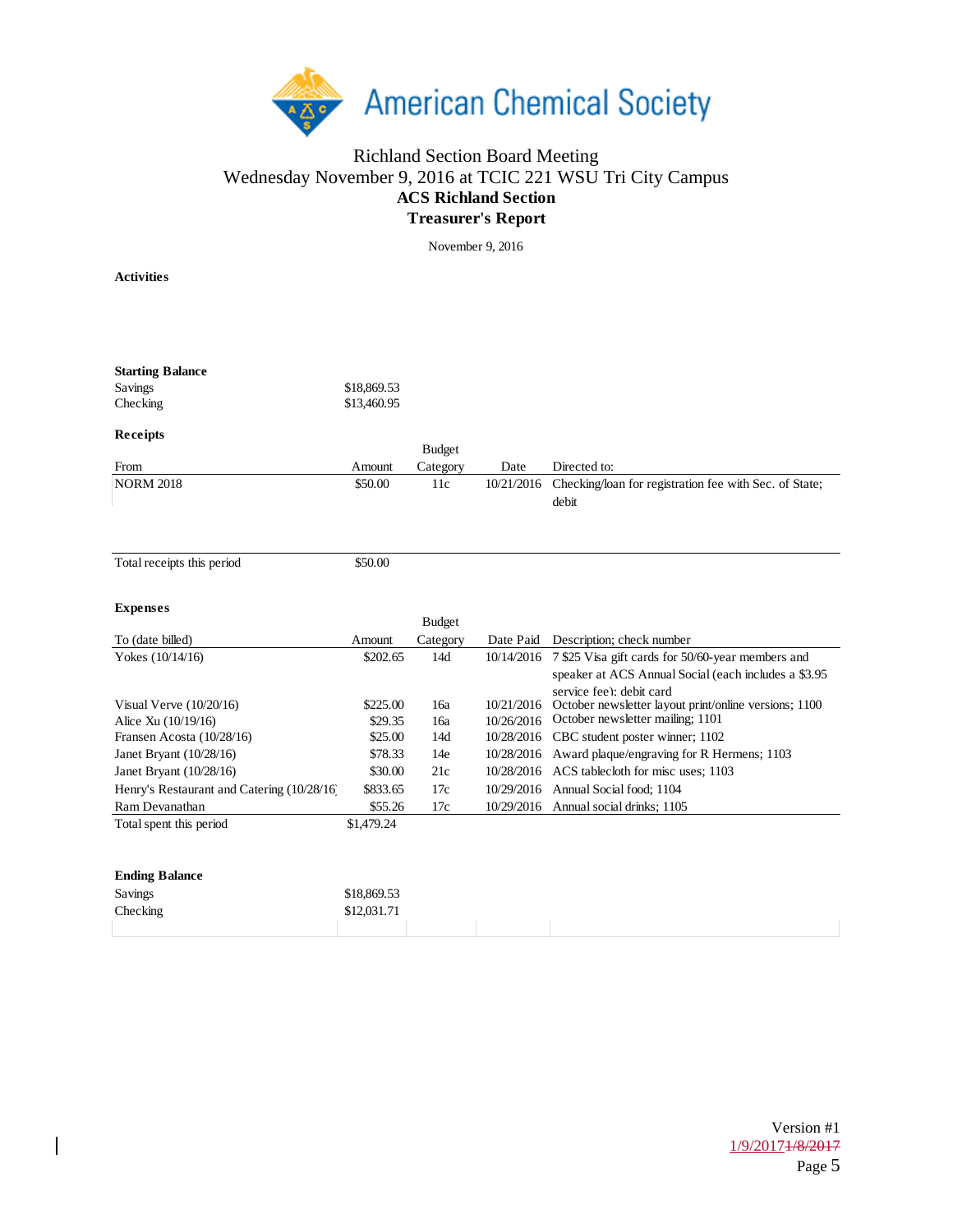

### Richland Section Board Meeting Wednesday November 9, 2016 at TCIC 221 WSU Tri City Campus **ACS Richland Section Treasurer's Report**

November 9, 2016

**Activities**

 $\overline{\phantom{a}}$ 

| <b>Starting Balance</b><br>Savings<br>Checking | \$18,869.53<br>\$13,460.95 |                           |            |                                                              |
|------------------------------------------------|----------------------------|---------------------------|------------|--------------------------------------------------------------|
| Receipts                                       |                            |                           |            |                                                              |
| From                                           | Amount                     | <b>Budget</b><br>Category | Date       | Directed to:                                                 |
| <b>NORM 2018</b>                               | \$50.00                    | 11c                       | 10/21/2016 | Checking/loan for registration fee with Sec. of State;       |
|                                                |                            |                           |            | debit                                                        |
|                                                |                            |                           |            |                                                              |
| Total receipts this period                     | \$50.00                    |                           |            |                                                              |
|                                                |                            |                           |            |                                                              |
| <b>Expenses</b>                                |                            |                           |            |                                                              |
|                                                |                            | <b>Budget</b>             |            |                                                              |
| To (date billed)                               | Amount                     | Category                  |            | Date Paid Description; check number                          |
| Yokes (10/14/16)                               | \$202.65                   | 14d                       |            | 10/14/2016 7 \$25 Visa gift cards for 50/60-year members and |
|                                                |                            |                           |            | speaker at ACS Annual Social (each includes a \$3.95         |
|                                                |                            |                           |            | service fee): debit card                                     |
| Visual Verve $(10/20/16)$                      | \$225.00                   | 16a                       | 10/21/2016 | October newsletter layout print/online versions; 1100        |
| Alice Xu (10/19/16)                            | \$29.35                    | 16a                       | 10/26/2016 | October newsletter mailing; 1101                             |
| Fransen Acosta (10/28/16)                      | \$25.00                    | 14d                       |            | 10/28/2016 CBC student poster winner; 1102                   |
| Janet Bryant (10/28/16)                        | \$78.33                    | 14e                       |            | 10/28/2016 Award plaque/engraving for R Hermens; 1103        |
| Janet Bryant (10/28/16)                        | \$30.00                    | 21c                       |            | 10/28/2016 ACS tablecloth for misc uses; 1103                |
| Henry's Restaurant and Catering (10/28/16)     | \$833.65                   | 17c                       | 10/29/2016 | Annual Social food; 1104                                     |
| Ram Devanathan                                 | \$55.26                    | 17c                       |            | 10/29/2016 Annual social drinks; 1105                        |
| Total spent this period                        | \$1,479.24                 |                           |            |                                                              |
|                                                |                            |                           |            |                                                              |
| <b>Ending Balance</b>                          |                            |                           |            |                                                              |
| Savings                                        | \$18,869.53                |                           |            |                                                              |
| Checking                                       | \$12,031.71                |                           |            |                                                              |
|                                                |                            |                           |            |                                                              |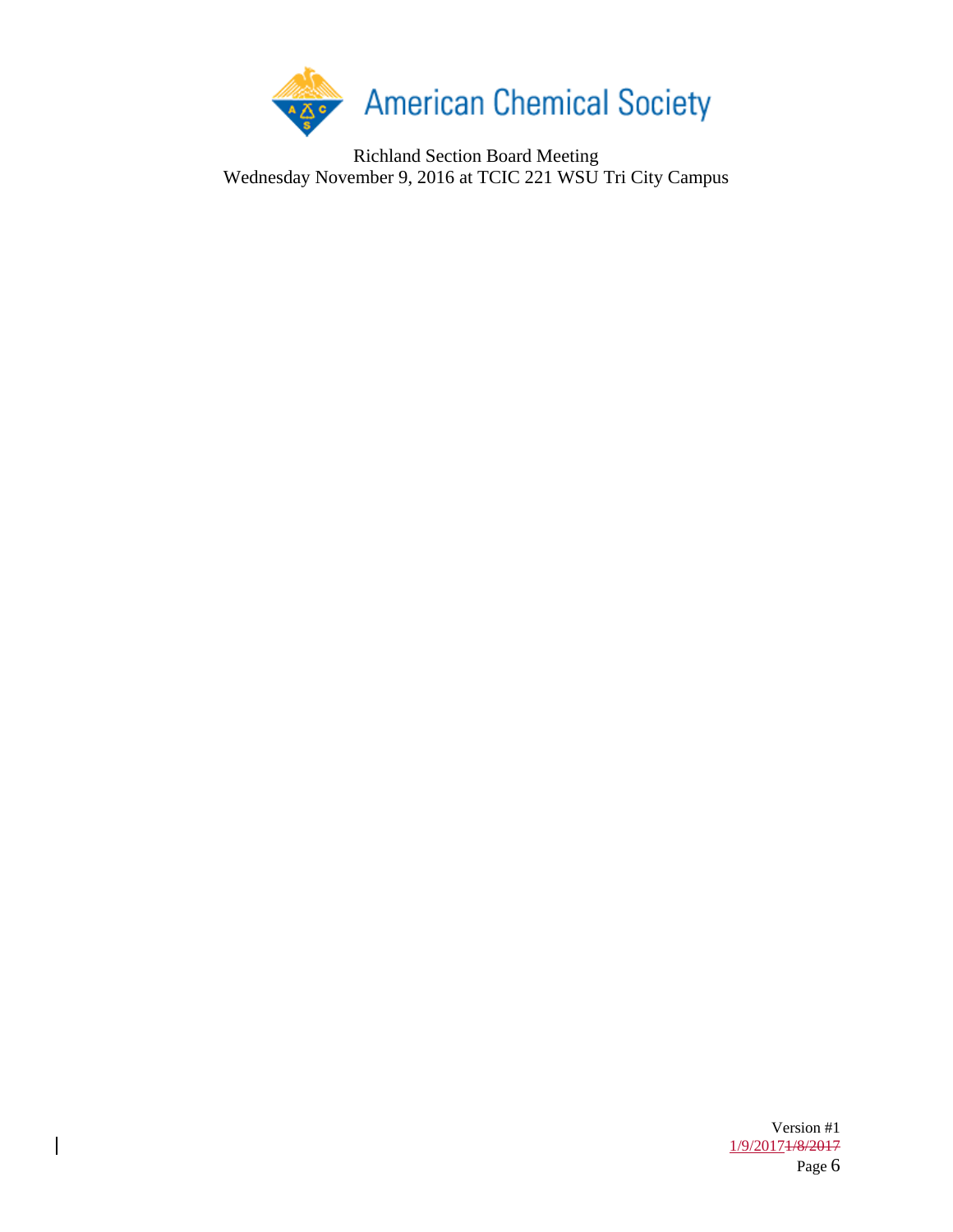

Richland Section Board Meeting Wednesday November 9, 2016 at TCIC 221 WSU Tri City Campus

 $\begin{array}{c} \rule{0pt}{2.5ex} \rule{0pt}{2.5ex} \rule{0pt}{2.5ex} \rule{0pt}{2.5ex} \rule{0pt}{2.5ex} \rule{0pt}{2.5ex} \rule{0pt}{2.5ex} \rule{0pt}{2.5ex} \rule{0pt}{2.5ex} \rule{0pt}{2.5ex} \rule{0pt}{2.5ex} \rule{0pt}{2.5ex} \rule{0pt}{2.5ex} \rule{0pt}{2.5ex} \rule{0pt}{2.5ex} \rule{0pt}{2.5ex} \rule{0pt}{2.5ex} \rule{0pt}{2.5ex} \rule{0pt}{2.5ex} \rule{0$